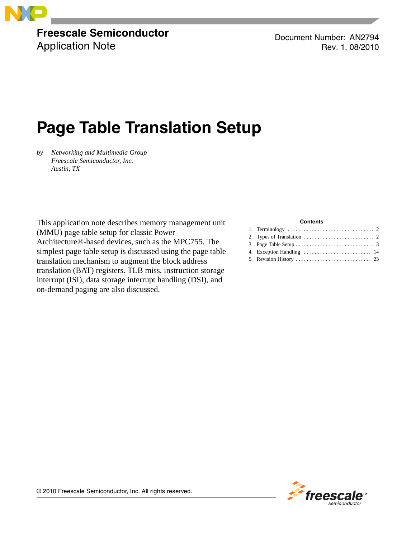

**Freescale Semiconductor** Application Note

Document Number: AN2794 Rev. 1, 08/2010

# **Page Table Translation Setup**

*by Networking and Multimedia Group Freescale Semiconductor, Inc. Austin, TX*

This application note describes memory management unit (MMU) page table setup for classic Power Architecture®-based devices, such as the MPC755. The simplest page table setup is discussed using the page table translation mechanism to augment the block address translation (BAT) registers. TLB miss, instruction storage interrupt (ISI), data storage interrupt handling (DSI), and on-demand paging are also discussed.

#### **Contents**

| 2. Types of Translation $\ldots \ldots \ldots \ldots \ldots \ldots \ldots \ldots$ |  |
|-----------------------------------------------------------------------------------|--|
|                                                                                   |  |
|                                                                                   |  |
|                                                                                   |  |



© 2010 Freescale Semiconductor, Inc. All rights reserved.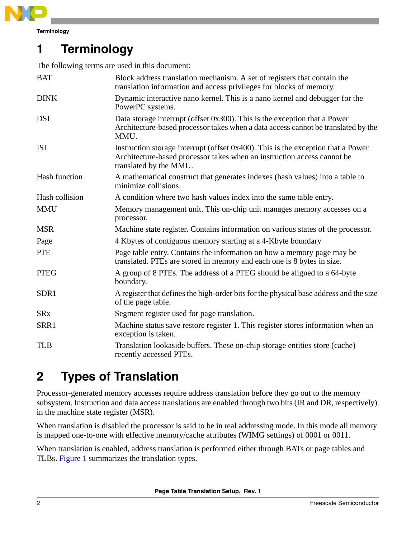

# <span id="page-1-1"></span>**1 Terminology**

The following terms are used in this document:

| <b>BAT</b>     | Block address translation mechanism. A set of registers that contain the<br>translation information and access privileges for blocks of memory.                                       |
|----------------|---------------------------------------------------------------------------------------------------------------------------------------------------------------------------------------|
| <b>DINK</b>    | Dynamic interactive nano kernel. This is a nano kernel and debugger for the<br>PowerPC systems.                                                                                       |
| <b>DSI</b>     | Data storage interrupt (offset 0x300). This is the exception that a Power<br>Architecture-based processor takes when a data access cannot be translated by the<br>MMU.                |
| <b>ISI</b>     | Instruction storage interrupt (offset 0x400). This is the exception that a Power<br>Architecture-based processor takes when an instruction access cannot be<br>translated by the MMU. |
| Hash function  | A mathematical construct that generates indexes (hash values) into a table to<br>minimize collisions.                                                                                 |
| Hash collision | A condition where two hash values index into the same table entry.                                                                                                                    |
| <b>MMU</b>     | Memory management unit. This on-chip unit manages memory accesses on a<br>processor.                                                                                                  |
| <b>MSR</b>     | Machine state register. Contains information on various states of the processor.                                                                                                      |
| Page           | 4 Kbytes of contiguous memory starting at a 4-Kbyte boundary                                                                                                                          |
| <b>PTE</b>     | Page table entry. Contains the information on how a memory page may be<br>translated. PTEs are stored in memory and each one is 8 bytes in size.                                      |
| <b>PTEG</b>    | A group of 8 PTEs. The address of a PTEG should be aligned to a 64-byte<br>boundary.                                                                                                  |
| SDR1           | A register that defines the high-order bits for the physical base address and the size<br>of the page table.                                                                          |
| <b>SRx</b>     | Segment register used for page translation.                                                                                                                                           |
| SRR1           | Machine status save restore register 1. This register stores information when an<br>exception is taken.                                                                               |
| <b>TLB</b>     | Translation lookaside buffers. These on-chip storage entities store (cache)<br>recently accessed PTEs.                                                                                |

# <span id="page-1-0"></span>**2 Types of Translation**

Processor-generated memory accesses require address translation before they go out to the memory subsystem. Instruction and data access translations are enabled through two bits (IR and DR, respectively) in the machine state register (MSR).

When translation is disabled the processor is said to be in real addressing mode. In this mode all memory is mapped one-to-one with effective memory/cache attributes (WIMG settings) of 0001 or 0011.

When translation is enabled, address translation is performed either through BATs or page tables and TLBs. [Figure 1](#page-2-1) summarizes the translation types.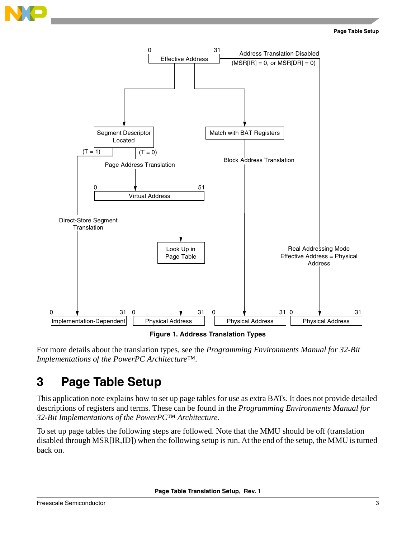**Page Table Setup**





**Figure 1. Address Translation Types**

<span id="page-2-1"></span>For more details about the translation types, see the *Programming Environments Manual for 32-Bit Implementations of the PowerPC Architecture™*.

# <span id="page-2-0"></span>**3 Page Table Setup**

This application note explains how to set up page tables for use as extra BATs. It does not provide detailed descriptions of registers and terms. These can be found in the *Programming Environments Manual for 32-Bit Implementations of the PowerPC™ Architecture*.

To set up page tables the following steps are followed. Note that the MMU should be off (translation disabled through MSR[IR,ID]) when the following setup is run. At the end of the setup, the MMU is turned back on.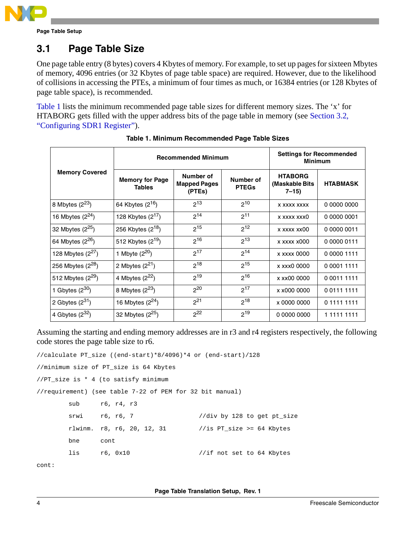

### <span id="page-3-1"></span>**3.1 Page Table Size**

One page table entry (8 bytes) covers 4 Kbytes of memory. For example, to set up pages for sixteen Mbytes of memory, 4096 entries (or 32 Kbytes of page table space) are required. However, due to the likelihood of collisions in accessing the PTEs, a minimum of four times as much, or 16384 entries (or 128 Kbytes of page table space), is recommended.

[Table 1](#page-3-0) lists the minimum recommended page table sizes for different memory sizes. The 'x' for HTABORG gets filled with the upper address bits of the page table in memory (see [Section 3.2,](#page-4-0)  ["Configuring SDR1 Register](#page-4-0)").

<span id="page-3-0"></span>

|                              | <b>Recommended Minimum</b>              |                                            |                           | <b>Settings for Recommended</b><br><b>Minimum</b> |                 |
|------------------------------|-----------------------------------------|--------------------------------------------|---------------------------|---------------------------------------------------|-----------------|
| <b>Memory Covered</b>        | <b>Memory for Page</b><br><b>Tables</b> | Number of<br><b>Mapped Pages</b><br>(PTEs) | Number of<br><b>PTEGs</b> | <b>HTABORG</b><br>(Maskable Bits)<br>$7 - 15$     | <b>HTABMASK</b> |
| 8 Mbytes $(2^{23})$          | 64 Kbytes (2 <sup>16</sup> )            | $2^{13}$                                   | $2^{10}$                  | <b>X XXXX XXXX</b>                                | 0 0000 0000     |
| 16 Mbytes $(2^{24})$         | 128 Kbytes (2 <sup>17</sup> )           | $2^{14}$                                   | $2^{11}$                  | x xxxx xxx0                                       | 0 0000 0001     |
| 32 Mbytes $(2^{25})$         | 256 Kbytes $(2^{18})$                   | $2^{15}$                                   | $2^{12}$                  | x xxxx xx00                                       | 0 0000 0011     |
| 64 Mbytes (2 <sup>26</sup> ) | 512 Kbytes $(2^{19})$                   | $2^{16}$                                   | $2^{13}$                  | x xxxx x000                                       | 0 0000 0111     |
| 128 Mbytes $(2^{27})$        | 1 Mbyte (2 <sup>20</sup> )              | $2^{17}$                                   | $2^{14}$                  | x xxxx 0000                                       | 0 0000 1111     |
| 256 Mbytes $(2^{28})$        | 2 Mbytes $(2^{21})$                     | $2^{18}$                                   | $2^{15}$                  | x xxx0 0000                                       | 0 0001 1111     |
| 512 Mbytes $(2^{29})$        | 4 Mbytes $(2^{22})$                     | $2^{19}$                                   | $2^{16}$                  | x xx00 0000                                       | 0 0011 1111     |
| 1 Gbytes $(2^{30})$          | 8 Mbytes $(2^{23})$                     | $2^{20}$                                   | $2^{17}$                  | x x000 0000                                       | 001111111       |
| 2 Gbytes $(2^{31})$          | 16 Mbytes $(2^{24})$                    | $2^{21}$                                   | $2^{18}$                  | x 0000 0000                                       | 0 1111 1111     |
| 4 Gbytes $(2^{32})$          | 32 Mbytes $(2^{25})$                    | $2^{22}$                                   | $2^{19}$                  | 0 0000 0000                                       | 1 1111 1111     |

|  | Table 1. Minimum Recommended Page Table Sizes |  |
|--|-----------------------------------------------|--|
|  |                                               |  |

Assuming the starting and ending memory addresses are in r3 and r4 registers respectively, the following code stores the page table size to r6.

//calculate PT\_size ((end-start)\*8/4096)\*4 or (end-start)/128

//minimum size of PT\_size is 64 Kbytes

//PT\_size is \* 4 (to satisfy minimum

//requirement) (see table 7-22 of PEM for 32 bit manual)

| sub  | r6, r4, r3                 |                             |
|------|----------------------------|-----------------------------|
| srwi | r6, r6, 7                  | //div by 128 to get pt_size |
|      | rlwinm. r8, r6, 20, 12, 31 | //is PT size >= 64 Kbytes   |
| bne  | cont                       |                             |
| lis  | r6, 0x10                   | //if not set to 64 Kbytes   |
|      |                            |                             |

cont: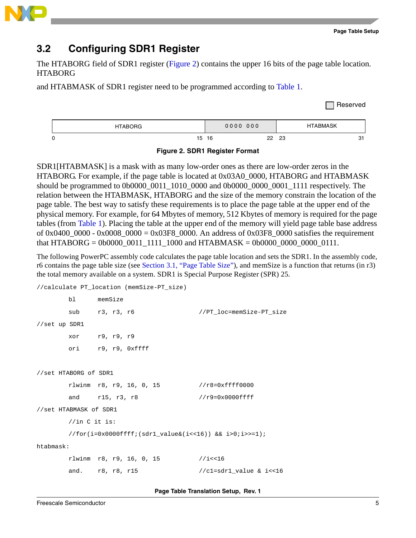

### <span id="page-4-0"></span>**3.2 Configuring SDR1 Register**

The HTABORG field of SDR1 register ([Figure 2](#page-4-1)) contains the upper 16 bits of the page table location. HTABORG

and HTABMASK of SDR1 register need to be programmed according to [Table 1.](#page-3-0)





<span id="page-4-1"></span>SDR1[HTABMASK] is a mask with as many low-order ones as there are low-order zeros in the HTABORG. For example, if the page table is located at 0x03A0\_0000, HTABORG and HTABMASK should be programmed to 0b0000\_0011\_1010\_0000 and 0b0000\_0000\_0001\_1111 respectively. The relation between the HTABMASK, HTABORG and the size of the memory constrain the location of the page table. The best way to satisfy these requirements is to place the page table at the upper end of the physical memory. For example, for 64 Mbytes of memory, 512 Kbytes of memory is required for the page tables (from [Table 1](#page-3-0)). Placing the table at the upper end of the memory will yield page table base address of 0x0400  $0000 - 0x0008$   $0000 = 0x03F8$  0000. An address of 0x03F8 0000 satisfies the requirement that HTABORG = 0b0000\_0011\_1111\_1000 and HTABMASK = 0b0000\_0000\_0000\_0111.

The following PowerPC assembly code calculates the page table location and sets the SDR1. In the assembly code, r6 contains the page table size (see [Section 3.1, "Page Table Size](#page-3-1)"), and memSize is a function that returns (in r3) the total memory available on a system. SDR1 is Special Purpose Register (SPR) 25.

```
//calculate PT_location (memSize-PT_size)
       bl memSize
       sub r3, r3, r6 //PT_loc=memSize-PT_size
//set up SDR1
        xor r9, r9, r9
        ori r9, r9, 0xffff
//set HTABORG of SDR1
        rlwinm r8, r9, 16, 0, 15 //r8=0xffff0000
       and r15, r3, r8 //r9=0x0000ffff
//set HTABMASK of SDR1
       //in C it is: 
        //for(i=0x0000ffff;(sdr1_value&(i<<16)) && i>0;i>>=1);
htabmask:
        rlwinm r8, r9, 16, 0, 15 //i<<16
       and. r8, r8, r15 //c1=sdr1_value & i<<16
```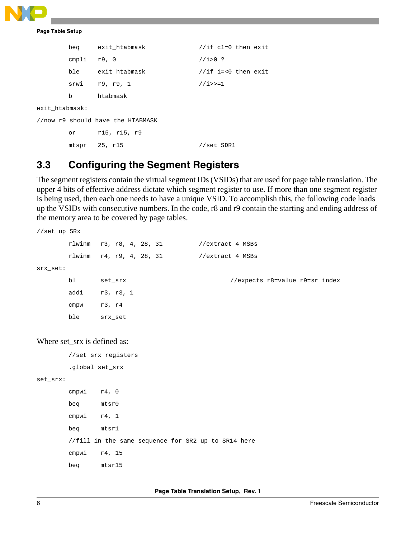

|                |               | beg exit htabmask                 | //if $cl=0$ then exit    |
|----------------|---------------|-----------------------------------|--------------------------|
|                | cmpli $r9, 0$ |                                   | $1/i > 0$ ?              |
|                |               | ble exit htabmask                 | //if $i = < 0$ then exit |
|                |               | srwi r9, r9, 1                    | $1/1$ >>=1               |
|                | $\mathbf{b}$  | htabmask                          |                          |
| exit htabmask: |               |                                   |                          |
|                |               | //now r9 should have the HTABMASK |                          |
|                |               | or r15, r15, r9                   |                          |
|                |               | mtspr 25, r15                     | //set SDR1               |

### **3.3 Configuring the Segment Registers**

The segment registers contain the virtual segment IDs (VSIDs) that are used for page table translation. The upper 4 bits of effective address dictate which segment register to use. If more than one segment register is being used, then each one needs to have a unique VSID. To accomplish this, the following code loads up the VSIDs with consecutive numbers. In the code, r8 and r9 contain the starting and ending address of the memory area to be covered by page tables.

```
//set up SRx
       rlwinm r3, r8, 4, 28, 31 //extract 4 MSBs
       rlwinm r4, r9, 4, 28, 31 //extract 4 MSBs
srx_set:
      bl set_srx //expects r8=value r9=sr index
       addi r3, r3, 1
       cmpw r3, r4
       ble srx_set
```
Where set\_srx is defined as:

//set srx registers

.global set\_srx

set\_srx:

 cmpwi r4, 0 beq mtsr0 cmpwi r4, 1 beq mtsr1 //fill in the same sequence for SR2 up to SR14 here cmpwi r4, 15 beq mtsr15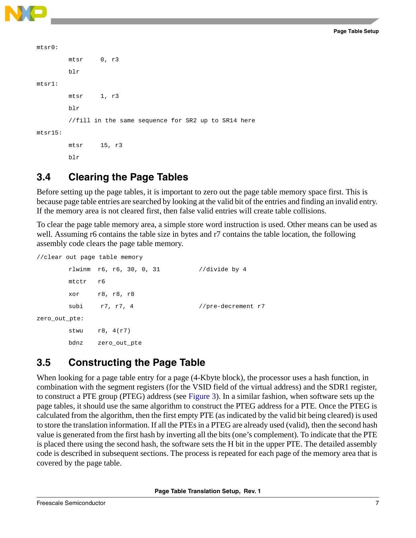

```
mtsr0: 
         mtsr 0, r3
         blr
mtsr1: 
         mtsr 1, r3
         blr
         //fill in the same sequence for SR2 up to SR14 here
mtsr15:
        mtsr 15, r3
```
blr

### **3.4 Clearing the Page Tables**

Before setting up the page tables, it is important to zero out the page table memory space first. This is because page table entries are searched by looking at the valid bit of the entries and finding an invalid entry. If the memory area is not cleared first, then false valid entries will create table collisions.

To clear the page table memory area, a simple store word instruction is used. Other means can be used as well. Assuming r6 contains the table size in bytes and r7 contains the table location, the following assembly code clears the page table memory.

//clear out page table memory rlwinm r6, r6, 30, 0, 31 //divide by 4 mtctr r6 xor r8, r8, r8 subi r7, r7, 4 //pre-decrement r7

zero\_out\_pte:

stwu  $r8, 4(r7)$ bdnz zero\_out\_pte

### **3.5 Constructing the Page Table**

When looking for a page table entry for a page  $(4-Kbyte block)$ , the processor uses a hash function, in combination with the segment registers (for the VSID field of the virtual address) and the SDR1 register, to construct a PTE group (PTEG) address (see [Figure 3\)](#page-7-0). In a similar fashion, when software sets up the page tables, it should use the same algorithm to construct the PTEG address for a PTE. Once the PTEG is calculated from the algorithm, then the first empty PTE (as indicated by the valid bit being cleared) is used to store the translation information. If all the PTEs in a PTEG are already used (valid), then the second hash value is generated from the first hash by inverting all the bits (one's complement). To indicate that the PTE is placed there using the second hash, the software sets the H bit in the upper PTE. The detailed assembly code is described in subsequent sections. The process is repeated for each page of the memory area that is covered by the page table.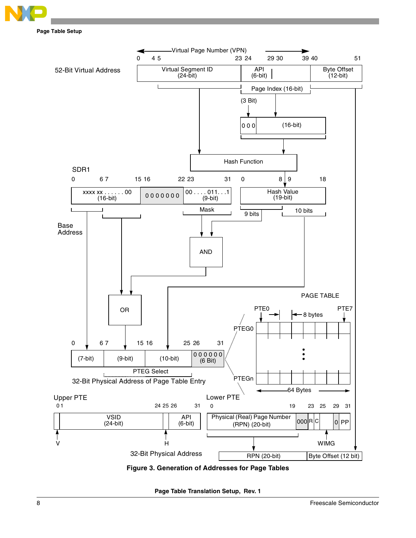



<span id="page-7-0"></span>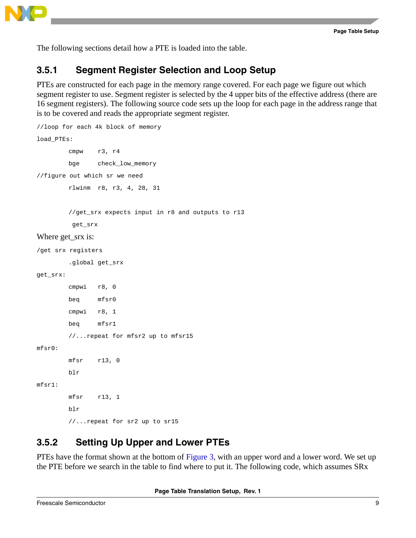



The following sections detail how a PTE is loaded into the table.

### **3.5.1 Segment Register Selection and Loop Setup**

PTEs are constructed for each page in the memory range covered. For each page we figure out which segment register to use. Segment register is selected by the 4 upper bits of the effective address (there are 16 segment registers). The following source code sets up the loop for each page in the address range that is to be covered and reads the appropriate segment register.

```
//loop for each 4k block of memory
load_PTEs: 
         cmpw r3, r4
         bge check_low_memory
//figure out which sr we need
         rlwinm r8, r3, 4, 28, 31
          //get_srx expects input in r8 and outputs to r13
          get_srx
Where get_srx is:
/get srx registers
          .global get_srx
get_srx:
         cmpwi r8, 0
         beq mfsr0
         cmpwi r8, 1
         beq mfsr1
         //...repeat for mfsr2 up to mfsr15
mfsr0: 
         mfsr r13, 0
         blr
mfcr1: mfsr r13, 1
         blr
        //...repeat for sr2 up to sr15
```
### <span id="page-8-0"></span>**3.5.2 Setting Up Upper and Lower PTEs**

PTEs have the format shown at the bottom of [Figure 3](#page-7-0), with an upper word and a lower word. We set up the PTE before we search in the table to find where to put it. The following code, which assumes SRx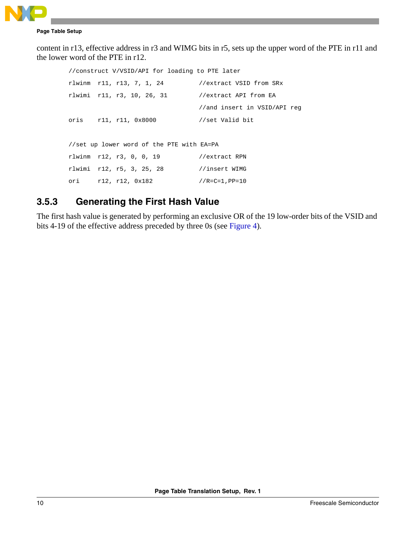

```
Page Table Setup
```
content in r13, effective address in r3 and WIMG bits in r5, sets up the upper word of the PTE in r11 and the lower word of the PTE in r12.

```
//construct V/VSID/API for loading to PTE later
 rlwinm r11, r13, 7, 1, 24 //extract VSID from SRx
 rlwimi r11, r3, 10, 26, 31 //extract API from EA 
                                //and insert in VSID/API reg
 oris r11, r11, 0x8000 //set Valid bit
//set up lower word of the PTE with EA=PA 
 rlwinm r12, r3, 0, 0, 19 //extract RPN
 rlwimi r12, r5, 3, 25, 28 //insert WIMG
 ori r12, r12, 0x182 //R=C=1,PP=10
```
### <span id="page-9-0"></span>**3.5.3 Generating the First Hash Value**

The first hash value is generated by performing an exclusive OR of the 19 low-order bits of the VSID and bits 4-19 of the effective address preceded by three 0s (see [Figure 4](#page-10-0)).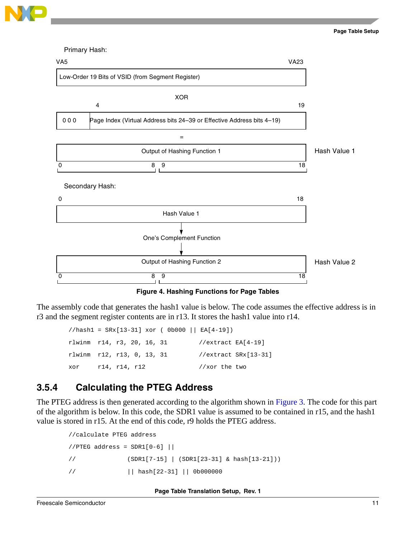



**Figure 4. Hashing Functions for Page Tables**

<span id="page-10-0"></span>The assembly code that generates the hash1 value is below. The code assumes the effective address is in r3 and the segment register contents are in r13. It stores the hash1 value into r14.

//hash1 = SRx[13-31] xor ( 0b000 || EA[4-19]) rlwinm r14, r3, 20, 16, 31 //extract EA[4-19] rlwinm r12, r13, 0, 13, 31 //extract SRx[13-31] xor r14, r14, r12 //xor the two

### <span id="page-10-1"></span>**3.5.4 Calculating the PTEG Address**

The PTEG address is then generated according to the algorithm shown in [Figure 3](#page-7-0). The code for this part of the algorithm is below. In this code, the SDR1 value is assumed to be contained in r15, and the hash1 value is stored in r15. At the end of this code, r9 holds the PTEG address.

```
 //calculate PTEG address
//PTEG address = SDR1[0-6] ||
 // (SDR1[7-15] | (SDR1[23-31] & hash[13-21]))
 // || hash[22-31] || 0b000000
```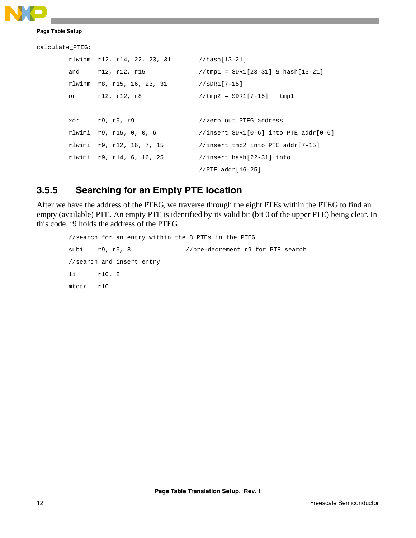```
calculate_PTEG:
        rlwinm r12, r14, 22, 23, 31 //hash[13-21]
       and r12, r12, r15 //tmp1 = SDR1[23-31] & hash[13-21]
        rlwinm r8, r15, 16, 23, 31 //SDR1[7-15]
        or r12, r12, r8 //tmp2 = SDR1[7-15] | tmp1
       xor r9, r9, r9 //zero out PTEG address
        rlwimi r9, r15, 0, 0, 6 //insert SDR1[0-6] into PTE addr[0-6]
       rlwimi r9, r12, 16, 7, 15 //insert \temp2 \t into PTE \taddr[7-15] rlwimi r9, r14, 6, 16, 25 //insert hash[22-31] into 
                                      //PTE addr[16-25]
```
### **3.5.5 Searching for an Empty PTE location**

After we have the address of the PTEG, we traverse through the eight PTEs within the PTEG to find an empty (available) PTE. An empty PTE is identified by its valid bit (bit 0 of the upper PTE) being clear. In this code, r9 holds the address of the PTEG.

```
//search for an entry within the 8 PTEs in the PTEG
subi r9, r9, 8 //pre-decrement r9 for PTE search
 //search and insert entry 
 li r10, 8
 mtctr r10
```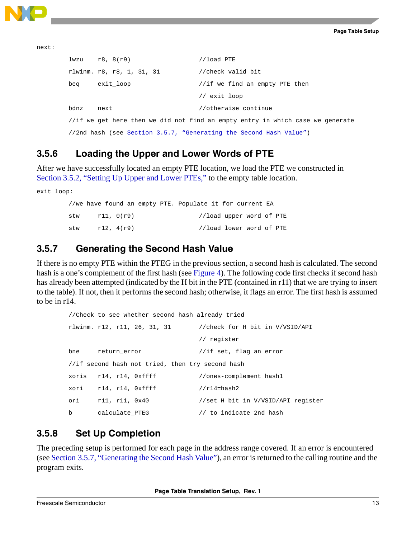next:

```
lwzu r8, 8(r9) //load PTE
 rlwinm. r8, r8, 1, 31, 31 //check valid bit
beq exit_loop //if we find an empty PTE then
                              // exit loop
bdnz next //otherwise continue
//if we get here then we did not find an empty entry in which case we generate
//2nd hash (see Section 3.5.7, "Generating the Second Hash Value")
```
## **3.5.6 Loading the Upper and Lower Words of PTE**

After we have successfully located an empty PTE location, we load the PTE we constructed in [Section 3.5.2, "Setting Up Upper and Lower PTEs,](#page-8-0)" to the empty table location.

exit\_loop: //we have found an empty PTE. Populate it for current EA stw r11, 0(r9) //load upper word of PTE stw r12, 4(r9) //load lower word of PTE

### <span id="page-12-0"></span>**3.5.7 Generating the Second Hash Value**

If there is no empty PTE within the PTEG in the previous section, a second hash is calculated. The second hash is a one's complement of the first hash (see [Figure 4](#page-10-0)). The following code first checks if second hash has already been attempted (indicated by the H bit in the PTE (contained in r11) that we are trying to insert to the table). If not, then it performs the second hash; otherwise, it flags an error. The first hash is assumed to be in r14.

```
//Check to see whether second hash already tried
 rlwinm. r12, r11, 26, 31, 31 //check for H bit in V/VSID/API 
                               // register
bne return_error //if set, flag an error
 //if second hash not tried, then try second hash
xoris r14, r14, 0xffff //ones-complement hash1
xori r14, r14, 0xffff //r14=hash2
 ori r11, r11, 0x40 //set H bit in V/VSID/API register
b calculate_PTEG // to indicate 2nd hash
```
### **3.5.8 Set Up Completion**

The preceding setup is performed for each page in the address range covered. If an error is encountered (see [Section 3.5.7, "Generating the Second Hash Value](#page-12-0)"), an error is returned to the calling routine and the program exits.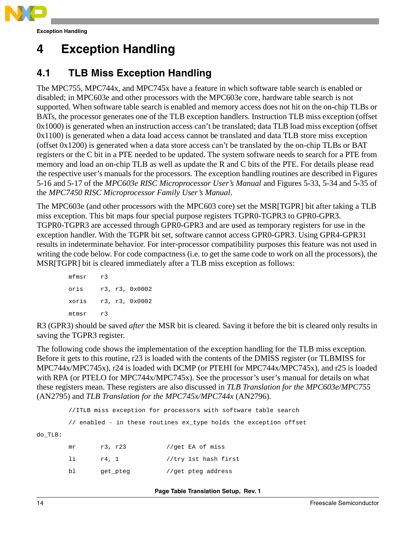

# <span id="page-13-0"></span>**4 Exception Handling**

### **4.1 TLB Miss Exception Handling**

The MPC755, MPC744x, and MPC745x have a feature in which software table search is enabled or disabled; in MPC603e and other processors with the MPC603e core, hardware table search is not supported. When software table search is enabled and memory access does not hit on the on-chip TLBs or BATs, the processor generates one of the TLB exception handlers. Instruction TLB miss exception (offset 0x1000) is generated when an instruction access can't be translated; data TLB load miss exception (offset 0x1100) is generated when a data load access cannot be translated and data TLB store miss exception (offset 0x1200) is generated when a data store access can't be translated by the on-chip TLBs or BAT registers or the C bit in a PTE needed to be updated. The system software needs to search for a PTE from memory and load an on-chip TLB as well as update the R and C bits of the PTE. For details please read the respective user's manuals for the processors. The exception handling routines are described in Figures 5-16 and 5-17 of the *MPC603e RISC Microprocessor User's Manual* and Figures 5-33, 5-34 and 5-35 of the *MPC7450 RISC Microprocessor Family User's Manual*.

The MPC603e (and other processors with the MPC603 core) set the MSR[TGPR] bit after taking a TLB miss exception. This bit maps four special purpose registers TGPR0-TGPR3 to GPR0-GPR3. TGPR0-TGPR3 are accessed through GPR0-GPR3 and are used as temporary registers for use in the exception handler. With the TGPR bit set, software cannot access GPR0-GPR3. Using GPR4-GPR31 results in indeterminate behavior. For inter-processor compatibility purposes this feature was not used in writing the code below. For code compactness (i.e. to get the same code to work on all the processors), the MSR[TGPR] bit is cleared immediately after a TLB miss exception as follows:

```
mfmsr r3
oris r3, r3, 0x0002
xoris r3, r3, 0x0002
mtmsr r3
```
R3 (GPR3) should be saved *after* the MSR bit is cleared. Saving it before the bit is cleared only results in saving the TGPR3 register.

The following code shows the implementation of the exception handling for the TLB miss exception. Before it gets to this routine, r23 is loaded with the contents of the DMISS register (or TLBMISS for MPC744x/MPC745x), r24 is loaded with DCMP (or PTEHI for MPC744x/MPC745x), and r25 is loaded with RPA (or PTELO for MPC744x/MPC745x). See the processor's user's manual for details on what these registers mean. These registers are also discussed in *TLB Translation for the MPC603e/MPC755* (AN2795) and *TLB Translation for the MPC745x/MPC744x* (AN2796).

//ITLB miss exception for processors with software table search

// enabled - in these routines ex\_type holds the exception offset

do\_TLB:

| mr | r3, r23  | //get EA of miss     |
|----|----------|----------------------|
| 1i | r4. 1    | //try 1st hash first |
| b1 | get pteg | //get pteg address   |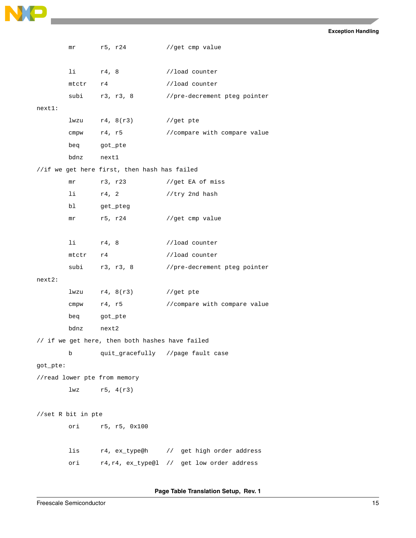

|           | mr                 | r5, r24                                         | //get cmp value                            |
|-----------|--------------------|-------------------------------------------------|--------------------------------------------|
|           |                    |                                                 |                                            |
|           | $1$ i $r4, 8$      |                                                 | //load counter                             |
|           | mtctr r4           |                                                 | //load counter                             |
|           |                    | subi r3, r3, 8                                  | //pre-decrement pteg pointer               |
| next1:    |                    |                                                 |                                            |
|           |                    | $1$ wzu $r4$ , $8(r3)$                          | //get pte                                  |
|           | cmpw               | r4, r5                                          | //compare with compare value               |
|           | beq                | got_pte                                         |                                            |
|           | bdnz               | nextl                                           |                                            |
|           |                    | //if we get here first, then hash has failed    |                                            |
|           | mr                 | r3, r23                                         | //get EA of miss                           |
|           | li —               | r4, 2                                           | //try 2nd hash                             |
|           | bl                 | get_pteg                                        |                                            |
|           | mr                 | r5, r24                                         | //get cmp value                            |
|           |                    |                                                 |                                            |
|           | $1$ i $r4, 8$      |                                                 | //load counter                             |
|           | mtctr              | r4                                              | //load counter                             |
|           |                    | subi r3, r3, 8                                  | //pre-decrement pteg pointer               |
| $next2$ : |                    |                                                 |                                            |
|           |                    | $1$ wzu $r4$ , $8(r3)$                          | //get pte                                  |
|           | cmpw               | r4, r5                                          | //compare with compare value               |
|           | beq got_pte        |                                                 |                                            |
|           | bdnz               | next2                                           |                                            |
|           |                    | // if we get here, then both hashes have failed |                                            |
|           | b                  | quit_gracefully //page fault case               |                                            |
| got_pte:  |                    |                                                 |                                            |
|           |                    | //read lower pte from memory                    |                                            |
|           |                    | $1wz$ $r5, 4(r3)$                               |                                            |
|           |                    |                                                 |                                            |
|           | //set R bit in pte |                                                 |                                            |
|           | ori                | r5, r5, 0x100                                   |                                            |
|           |                    |                                                 |                                            |
|           | lis                |                                                 | r4, ex_type@h // get high order address    |
|           | ori                |                                                 | r4, r4, ex_type@l // get low order address |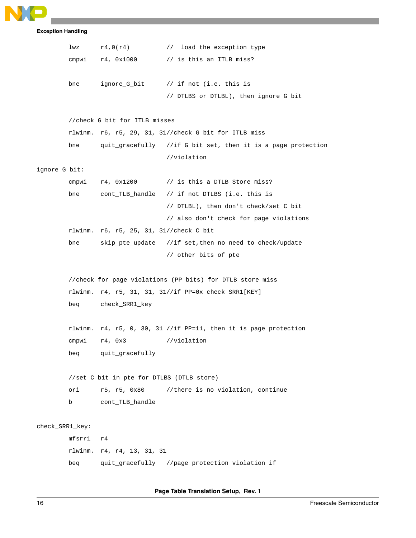

```
lwz r4,0(r4) // load the exception type
        cmpwi r4, 0x1000 // is this an ITLB miss?
       bne ignore_G_bit // if not (i.e. this is
                                // DTLBS or DTLBL), then ignore G bit
        //check G bit for ITLB misses
       rlwinm. r6, r5, 29, 31, 31//check G bit for ITLB miss
       bne quit_gracefully //if G bit set, then it is a page protection
                                //violation
ignore_G_bit:
       cmpwi r4, 0x1200 // is this a DTLB Store miss?
       bne cont_TLB_handle // if not DTLBS (i.e. this is
                                // DTLBL), then don't check/set C bit
                                // also don't check for page violations
       rlwinm. r6, r5, 25, 31, 31//check C bit
       bne skip_pte_update //if set,then no need to check/update
                                // other bits of pte
        //check for page violations (PP bits) for DTLB store miss
       rlwinm. r4, r5, 31, 31, 31//if PP=0x check SRR1[KEY]
       beq check_SRR1_key
       rlwinm. r4, r5, 0, 30, 31 //if PP=11, then it is page protection
       cmpwi r4, 0x3 //violation
       beq quit_gracefully
       //set C bit in pte for DTLBS (DTLB store)
       ori r5, r5, 0x80 //there is no violation, continue
       b cont_TLB_handle
check_SRR1_key:
       mfsrr1 r4
       rlwinm. r4, r4, 13, 31, 31
       beq quit_gracefully //page protection violation if
```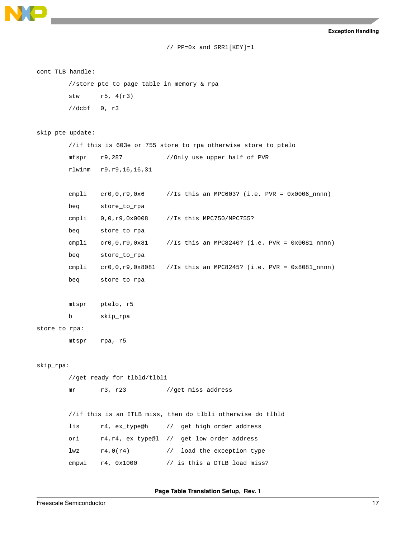

```
// PP=0x and SRR1[KEY]=1
```
#### cont\_TLB\_handle:

```
//store pte to page table in memory & rpa
stw r5, 4(r3)
//dcbf 0, r3
```
#### skip\_pte\_update:

```
//if this is 603e or 755 store to rpa otherwise store to ptelo
mfspr r9,287 //Only use upper half of PVR
rlwinm r9,r9,16,16,31
```

```
cmpli cr0,0,r9,0x6 //Is this an MPC603? (i.e. PVR = 0x0006_nnnn)
beq store_to_rpa
cmpli 0,0,r9,0x0008 //Is this MPC750/MPC755?
beq store_to_rpa
cmpli cr0,0,r9,0x81 //Is this an MPC8240? (i.e. PVR = 0x0081_nnnn)
beq store_to_rpa
cmpli cr0,0,r9,0x8081 //Is this an MPC8245? (i.e. PVR = 0x8081_nnnn)
beq store_to_rpa
```

```
mtspr ptelo, r5
```

```
b skip_rpa
```
#### store\_to\_rpa:

mtspr rpa, r5

#### skip\_rpa:

```
//get ready for tlbld/tlbli
mr r3, r23 //get miss address
//if this is an ITLB miss, then do tlbli otherwise do tlbld
```
lis r4, ex\_type@h // get high order address ori r4,r4, ex\_type@l // get low order address lwz r4,0(r4) // load the exception type cmpwi  $r4$ ,  $0x1000$  // is this a DTLB load miss?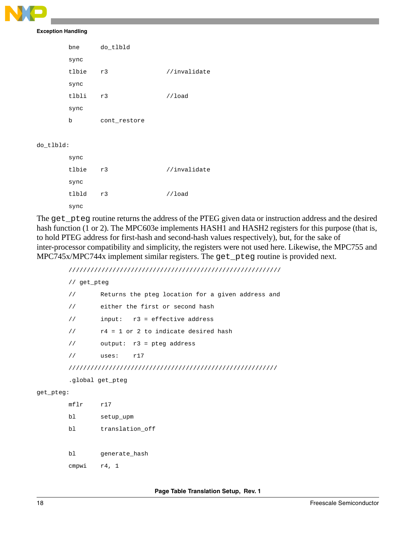```
Exception Handling
```

| bne   | do_tlbld     |              |
|-------|--------------|--------------|
| sync  |              |              |
| tlbie | r3           | //invalidate |
| sync  |              |              |
| tlbli | r3           | //load       |
| sync  |              |              |
| b     | cont_restore |              |
|       |              |              |

do\_tlbld:

| sync  |    |              |
|-------|----|--------------|
| tlbie | r3 | //invalidate |
| sync  |    |              |
| tlbld | r3 | //load       |
| sync  |    |              |

The get\_pteg routine returns the address of the PTEG given data or instruction address and the desired hash function (1 or 2). The MPC603e implements HASH1 and HASH2 registers for this purpose (that is, to hold PTEG address for first-hash and second-hash values respectively), but, for the sake of inter-processor compatibility and simplicity, the registers were not used here. Likewise, the MPC755 and MPC745x/MPC744x implement similar registers. The get\_pteg routine is provided next.

//////////////////////////////////////////////////////////

```
// get_pteg
       // Returns the pteg location for a given address and
       // either the first or second hash
       // input: r3 = effective address
       // r4 = 1 or 2 to indicate desired hash
       // output: r3 = pteg address
       // uses: r17
       /////////////////////////////////////////////////////////
       .global get_pteg
get_pteg:
       mflr r17
       bl setup_upm
       bl translation_off
```
bl generate\_hash

cmpwi r4, 1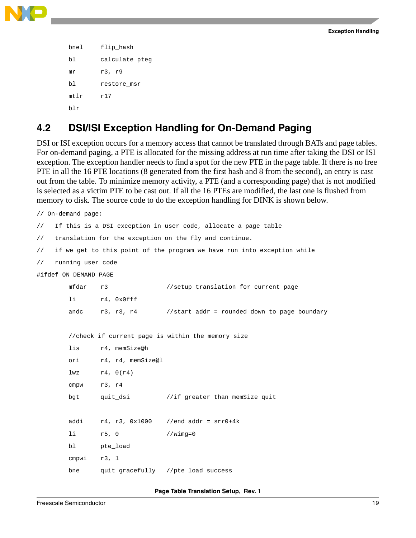

```
bnel flip_hash
bl calculate_pteg
mr r3, r9
bl restore_msr
mtlr r17
blr
```
### <span id="page-18-0"></span>**4.2 DSI/ISI Exception Handling for On-Demand Paging**

DSI or ISI exception occurs for a memory access that cannot be translated through BATs and page tables. For on-demand paging, a PTE is allocated for the missing address at run time after taking the DSI or ISI exception. The exception handler needs to find a spot for the new PTE in the page table. If there is no free PTE in all the 16 PTE locations (8 generated from the first hash and 8 from the second), an entry is cast out from the table. To minimize memory activity, a PTE (and a corresponding page) that is not modified is selected as a victim PTE to be cast out. If all the 16 PTEs are modified, the last one is flushed from memory to disk. The source code to do the exception handling for DINK is shown below.

```
// On-demand page:
// If this is a DSI exception in user code, allocate a page table
// translation for the exception on the fly and continue.
// if we get to this point of the program we have run into exception while
// running user code
#ifdef ON DEMAND PAGE
       mfdar r3 //setup translation for current page
       li r4, 0x0fff
       andc r3, r3, r4 //start addr = rounded down to page boundary
       //check if current page is within the memory size
       lis r4, memSize@h
       ori r4, r4, memSize@l
       lwz r4, 0(r4)cmpw r3, r4
       bgt quit_dsi //if greater than memSize quit
       addi r4, r3, 0x1000 //end addr = srr0+4k
       li r5, 0 //wimg=0
       bl pte_load
       cmpwi r3, 1
       bne quit_gracefully //pte_load success
```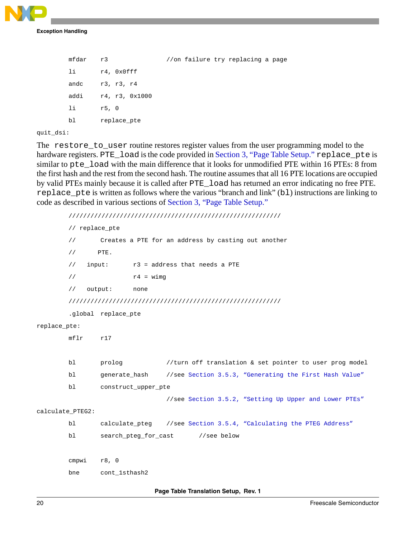

```
mfdar r3 //on failure try replacing a page
li r4, 0x0fff
andc r3, r3, r4
addi r4, r3, 0x1000
li r5, 0
bl replace_pte
```
quit\_dsi:

The restore\_to\_user routine restores register values from the user programming model to the hardware registers. PTE\_load is the code provided in [Section 3, "Page Table Setup](#page-2-0)." replace\_pte is similar to pte\_load with the main difference that it looks for unmodified PTE within 16 PTEs: 8 from the first hash and the rest from the second hash. The routine assumes that all 16 PTE locations are occupied by valid PTEs mainly because it is called after PTE\_load has returned an error indicating no free PTE. replace\_pte is written as follows where the various "branch and link" (bl) instructions are linking to code as described in various sections of [Section 3, "Page Table Setup](#page-2-0)."

```
//////////////////////////////////////////////////////////
       // replace_pte
        // Creates a PTE for an address by casting out another
        \frac{1}{2} PTE.
        // input: r3 = address that needs a PTE
        \frac{1}{1} r4 = wimg
       // output: none
       //////////////////////////////////////////////////////////
        .global replace_pte
replace_pte:
       mflr r17
       bl prolog //turn off translation & set pointer to user prog model
       bl generate_hash //see Section 3.5.3, "Generating the First Hash Value"
       bl construct_upper_pte 
                                //see Section 3.5.2, "Setting Up Upper and Lower PTEs"
calculate_PTEG2:
       bl calculate_pteg //see Section 3.5.4, "Calculating the PTEG Address"
       bl search_pteg_for_cast //see below
       cmpwi r8, 0
       bne cont_1sthash2
```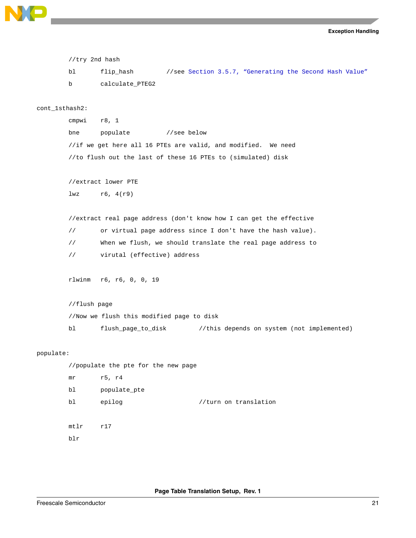```
Exception Handling
```

```
//try 2nd hash
       bl flip_hash //see Section 3.5.7, "Generating the Second Hash Value"
       b calculate_PTEG2
cont_1sthash2:
       cmpwi r8, 1
       bne populate //see below
       //if we get here all 16 PTEs are valid, and modified. We need
       //to flush out the last of these 16 PTEs to (simulated) disk
       //extract lower PTE
       lwz r6, 4(r9)//extract real page address (don't know how I can get the effective
       // or virtual page address since I don't have the hash value).
       // When we flush, we should translate the real page address to 
       // virutal (effective) address
       rlwinm r6, r6, 0, 0, 19
       //flush page
       //Now we flush this modified page to disk
       bl flush_page_to_disk //this depends on system (not implemented)
populate:
       //populate the pte for the new page
       mr r5, r4
       bl populate_pte
       bl epilog //turn on translationmtlr r17
       blr
```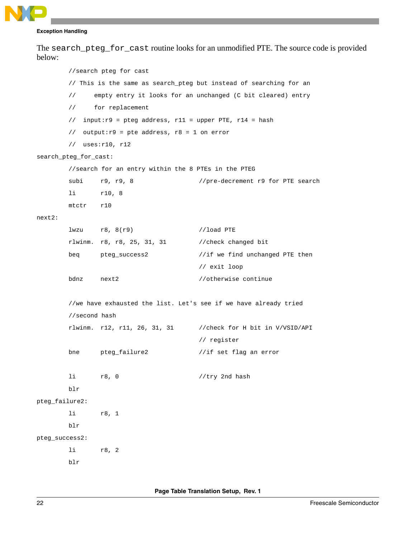The search\_pteg\_for\_cast routine looks for an unmodified PTE. The source code is provided below:

```
//search pteg for cast
       // This is the same as search_pteg but instead of searching for an
       // empty entry it looks for an unchanged (C bit cleared) entry
       // for replacement
       // input:r9 = pteg address, r11 = upper PTE, r14 = hash
       // output:r9 = pte address, r8 = 1 on error
       // uses:r10, r12
search_pteg_for_cast:
       //search for an entry within the 8 PTEs in the PTEG
       subi r9, r9, 8 //pre-decrement r9 for PTE search
       li r10, 8
       mtctr r10
next2:
       lwzu r8, 8(r9) //load PTE
       rlwinm. r8, r8, 25, 31, 31 //check changed bit
       beq pteg_success2 //if we find unchanged PTE then 
                                     // exit loop
       bdnz next2 //otherwise continue
       //we have exhausted the list. Let's see if we have already tried 
       //second hash
       rlwinm. r12, r11, 26, 31, 31 //check for H bit in V/VSID/API 
                                     // register
       bne pteg_failure2 //if set flag an error
       1i r8, 0 //try 2nd hash
       blr 
pteg_failure2:
       li r8, 1
       blr
pteg_success2:
       li r8, 2
       blr
```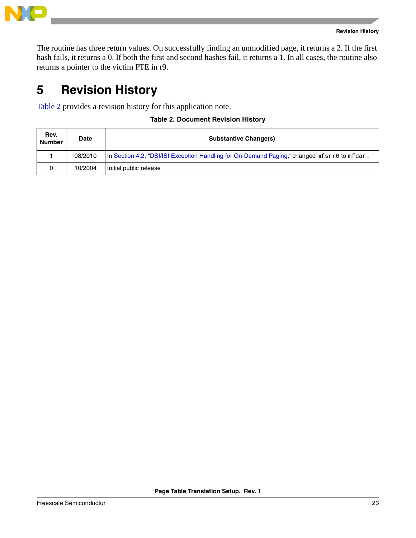

The routine has three return values. On successfully finding an unmodified page, it returns a 2. If the first hash fails, it returns a 0. If both the first and second hashes fail, it returns a 1. In all cases, the routine also returns a pointer to the victim PTE in r9.

# <span id="page-22-0"></span>**5 Revision History**

<span id="page-22-1"></span>[Table 2](#page-22-1) provides a revision history for this application note.

### **Table 2. Document Revision History**

| Rev.<br><b>Number</b> | Date    | <b>Substantive Change(s)</b>                                                                     |
|-----------------------|---------|--------------------------------------------------------------------------------------------------|
|                       | 08/2010 | In Section 4.2, "DSI/ISI Exception Handling for On-Demand Paging," changed $mfsrr0$ to $mfdar$ . |
|                       | 10/2004 | Initial public release                                                                           |